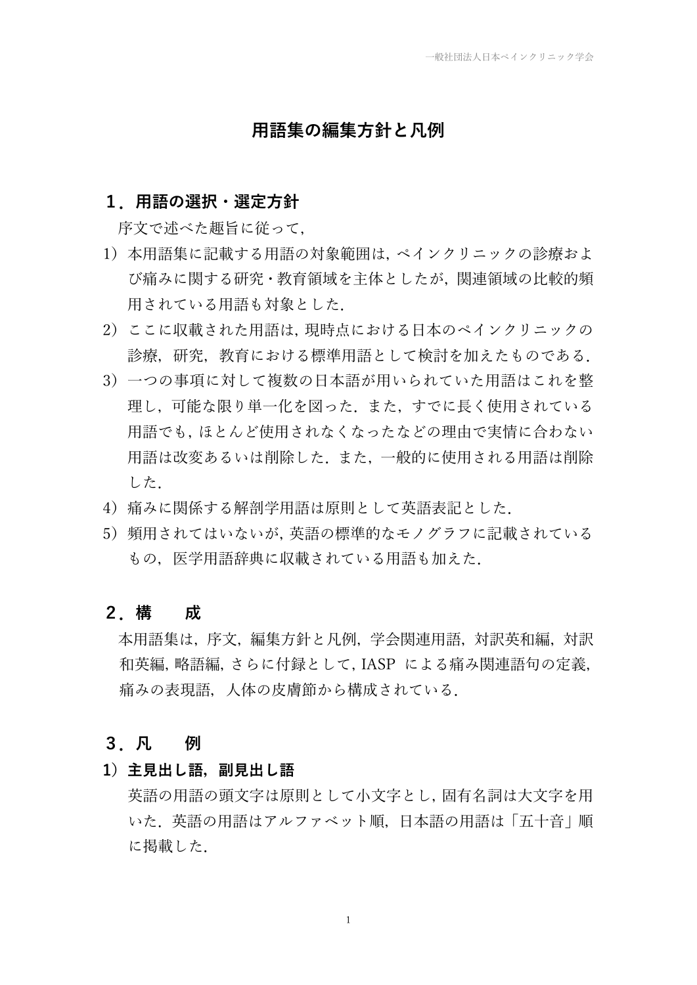### **用語集の編集方針と凡例**

#### **1.用語の選択・選定方針**

序文で述べた趣旨に従って,

- 1)本用語集に記載する用語の対象範囲は,ペインクリニックの診療およ び痛みに関する研究・教育領域を主体としたが,関連領域の比較的頻 用されている用語も対象とした.
- 2)ここに収載された用語は,現時点における日本のペインクリニックの 診療,研究,教育における標準用語として検討を加えたものである.
- 3)一つの事項に対して複数の日本語が用いられていた用語はこれを整 理し,可能な限り単一化を図った.また,すでに長く使用されている 用語でも,ほとんど使用されなくなったなどの理由で実情に合わない 用語は改変あるいは削除した.また,一般的に使用される用語は削除 した.
- 4) 痛みに関係する解剖学用語は原則として英語表記とした.
- 5) 頻用されてはいないが、英語の標準的なモノグラフに記載されている もの, 医学用語辞典に収載されている用語も加えた.

#### **2.構 成**

本用語集は,序文,編集方針と凡例,学会関連用語,対訳英和編,対訳 和英編,略語編,さらに付録として,IASP による痛み関連語句の定義, 痛みの表現語,人体の皮膚節から構成されている.

#### **3.凡 例**

**1)主見出し語,副見出し語**

英語の用語の頭文字は原則として小文字とし,固有名詞は大文字を用 いた.英語の用語はアルファベット順,日本語の用語は「五十音」順 に掲載した.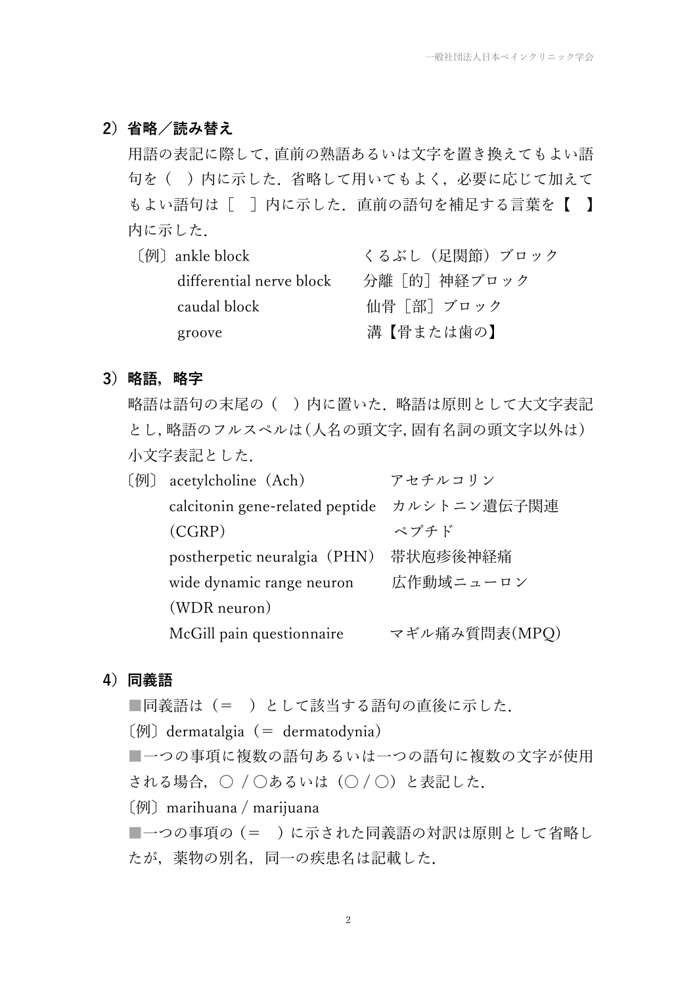#### **2)省略/読み替え**

用語の表記に際して,直前の熟語あるいは文字を置き換えてもよい語 句を()内に示した. 省略して用いてもよく, 必要に応じて加えて もよい語句は [ ] 内に示した. 直前の語句を補足する言葉を【 】 内に示した.

| 〔例〕 ankle block          | くるぶし(足関節)ブロック |
|--------------------------|---------------|
| differential nerve block | 分離「的]神経ブロック   |
| caudal block             | 仙骨「部]ブロック     |
| groove                   | 溝【骨または歯の】     |

#### **3)略語,略字**

略語は語句の末尾の()内に置いた. 略語は原則として大文字表記 とし,略語のフルスペルは(人名の頭文字,固有名詞の頭文字以外は) 小文字表記とした.

|  | acetylcholine (Ach)             | アセチルコリン       |
|--|---------------------------------|---------------|
|  | calcitonin gene-related peptide | カルシトニン遺伝子関連   |
|  | (CGRP)                          | ペプチド          |
|  | postherpetic neuralgia (PHN)    | 帯状庖疹後神経痛      |
|  | wide dynamic range neuron       | 広作動域ニューロン     |
|  | (WDR neuron)                    |               |
|  | McGill pain questionnaire       | マギル痛み質問表(MPQ) |
|  |                                 |               |

#### **4)同義語**

■同義語は(=)として該当する語句の直後に示した.

 $[ $\varphi$ ] dermatalgia (= dermatodynia)$ 

■一つの事項に複数の語句あるいは一つの語句に複数の文字が使用 される場合, ○ / ○あるいは (○/○)と表記した.

〔例〕marihuana / marijuana

■一つの事項の(= )に示された同義語の対訳は原則として省略し たが、薬物の別名、同一の疾患名は記載した.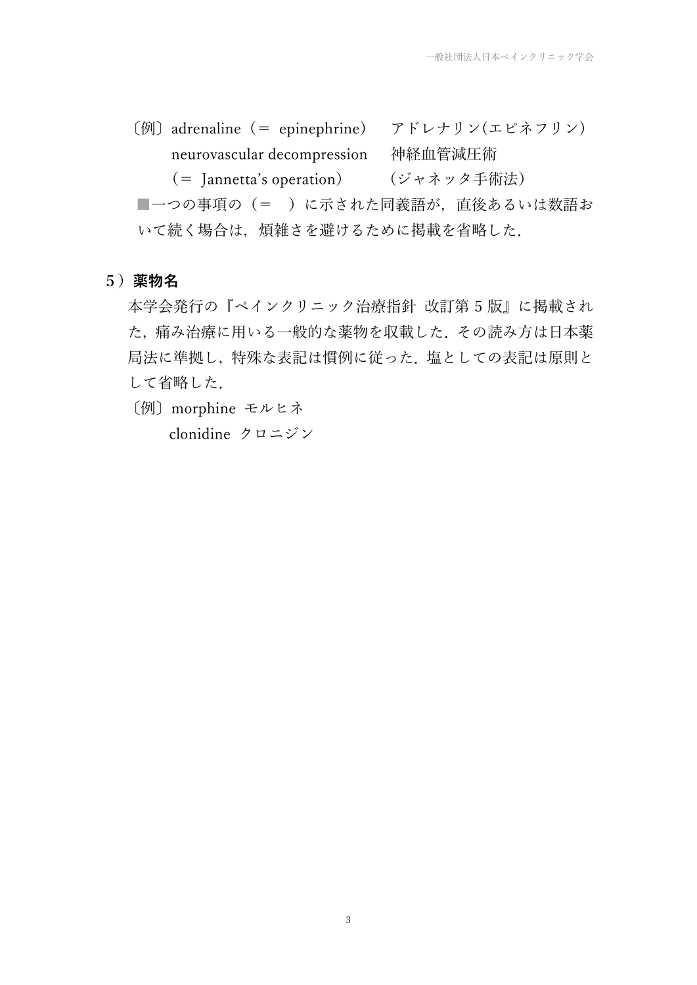〔例〕adrenaline(= epinephrine) アドレナリン(エピネフリン) neurovascular decompression 神経血管減圧術 (= Jannetta's operation) (ジャネッタ手術法)

■一つの事項の(=)に示された同義語が、直後あるいは数語お いて続く場合は、煩雑さを避けるために掲載を省略した.

### **5)薬物名**

本学会発行の『ペインクリニック治療指針 改訂第 5 版』に掲載され た,痛み治療に用いる一般的な薬物を収載した.その読み方は日本薬 局法に準拠し,特殊な表記は慣例に従った.塩としての表記は原則と して省略した.

〔例〕morphine モルヒネ

clonidine クロニジン

3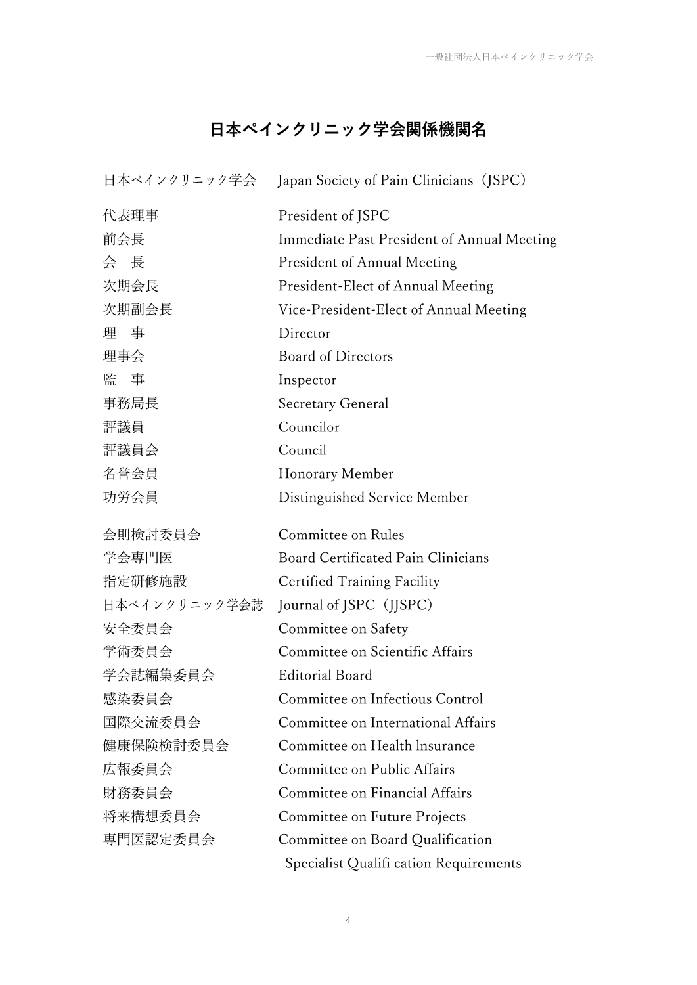# **日本ペインクリニック学会関係機関名**

|               | 日本ペインクリニック学会 Japan Society of Pain Clinicians (JSPC) |
|---------------|------------------------------------------------------|
| 代表理事          | President of JSPC                                    |
| 前会長           | Immediate Past President of Annual Meeting           |
| 会長            | <b>President of Annual Meeting</b>                   |
| 次期会長          | President-Elect of Annual Meeting                    |
| 次期副会長         | Vice-President-Elect of Annual Meeting               |
| 理事            | Director                                             |
| 理事会           | <b>Board of Directors</b>                            |
| 監事            | Inspector                                            |
| 事務局長          | <b>Secretary General</b>                             |
| 評議員           | Councilor                                            |
| 評議員会          | Council                                              |
| 名誉会員          | Honorary Member                                      |
| 功労会員          | Distinguished Service Member                         |
| 会則検討委員会       | Committee on Rules                                   |
| 学会専門医         | <b>Board Certificated Pain Clinicians</b>            |
| 指定研修施設        | <b>Certified Training Facility</b>                   |
| 日本ペインクリニック学会誌 | Journal of JSPC (JJSPC)                              |
| 安全委員会         | Committee on Safety                                  |
| 学術委員会         | Committee on Scientific Affairs                      |
| 学会誌編集委員会      | <b>Editorial Board</b>                               |
| 感染委員会         | Committee on Infectious Control                      |
| 国際交流委員会       | Committee on International Affairs                   |
| 健康保険検討委員会     | Committee on Health Insurance                        |
| 広報委員会         | Committee on Public Affairs                          |
| 財務委員会         | Committee on Financial Affairs                       |
| 将来構想委員会       | Committee on Future Projects                         |
| 専門医認定委員会      |                                                      |
|               | Committee on Board Qualification                     |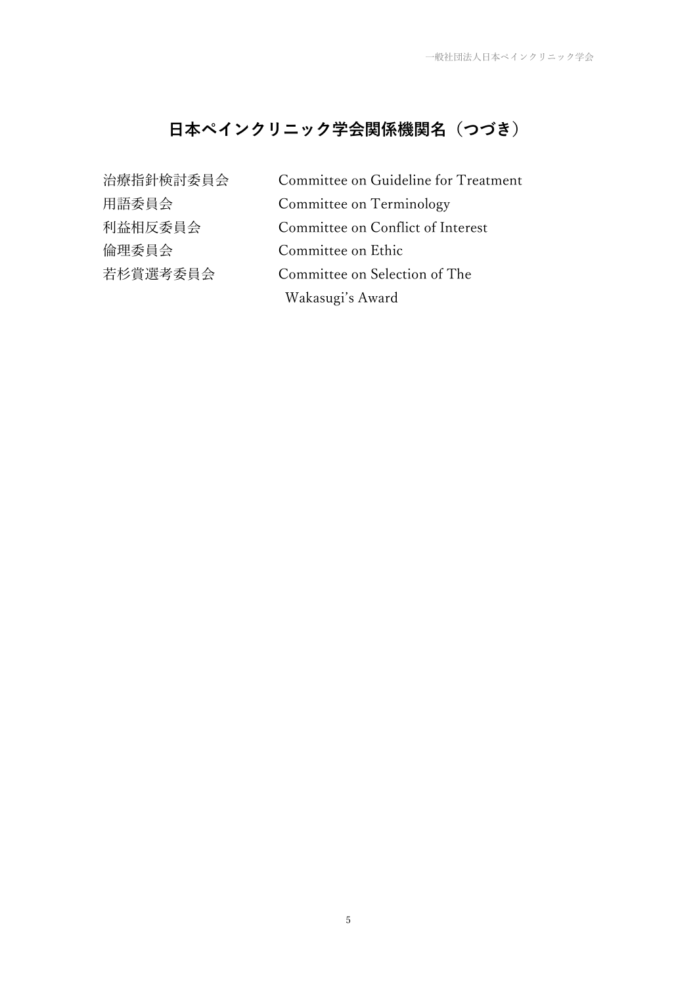# **日本ペインクリニック学会関係機関名(つづき)**

| 治療指針検討委員会 | Committee on Guideline for Treatment |
|-----------|--------------------------------------|
| 用語委員会     | Committee on Terminology             |
| 利益相反委員会   | Committee on Conflict of Interest    |
| 倫理委員会     | Committee on Ethic                   |
| 若杉賞選考委員会  | Committee on Selection of The        |
|           | Wakasugi's Award                     |